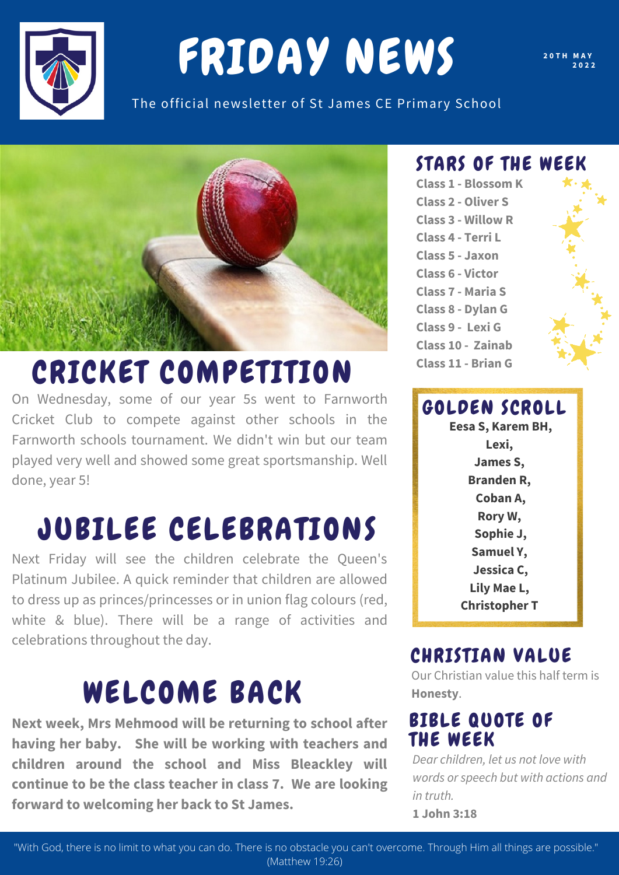

# FRIDAY NEWS

**2 0 T H M A Y 2 0 2 2**

The official newsletter of St James CE Primary School



### CRICKET COMPETITION

On Wednesday, some of our year 5s went to Farnworth Cricket Club to compete against other schools in the Farnworth schools tournament. We didn't win but our team played very well and showed some great sportsmanship. Well done, year 5!

### JUBILEE CELEBRATIONS

Next Friday will see the children celebrate the Queen's Platinum Jubilee. A quick reminder that children are allowed to dress up as princes/princesses or in union flag colours (red, white & blue). There will be a range of activities and celebrations throughout the day.

### WELCOME BACK

**Next week, Mrs Mehmood will be returning to school after having her baby. She will be working with teachers and children around the school and Miss Bleackley will continue to be the class teacher in class 7. We are looking forward to welcoming her back to St James.**

#### STARS OF THE WEEK

**Class 1 - Blossom K Class 2 - Oliver S Class 3 - Willow R Class 4 - Terri L Class 5 - Jaxon Class 6 - Victor Class 7 - Maria S Class 8 - Dylan G Class 9 - Lexi G Class 10 - Zainab Class 11 - Brian G**



#### CHRISTIAN VALUE

Our Christian value this half term is **Honesty**.

#### BIBLE QUOTE OF THE WEEK

*Dear children, let us not love with words or speech but with actions and in truth.*

**1 John 3:18**